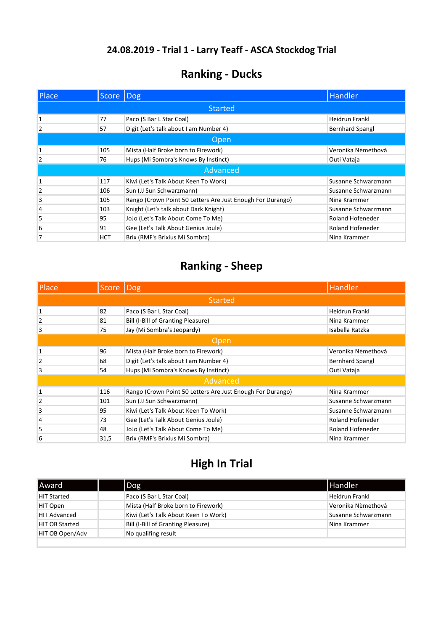# 24.08.2019 - Trial 1 - Larry Teaff - ASCA Stockdog Trial

| <b>Ranking - Ducks</b> |  |  |
|------------------------|--|--|
|------------------------|--|--|

| Place          | Score   Dog |                                                            | Handler                 |  |
|----------------|-------------|------------------------------------------------------------|-------------------------|--|
|                |             | <b>Started</b>                                             |                         |  |
|                | 77          | Paco (S Bar L Star Coal)                                   | <b>Heidrun Frankl</b>   |  |
| $\overline{2}$ | 57          | Digit (Let's talk about I am Number 4)                     | <b>Bernhard Spangl</b>  |  |
|                | <b>Open</b> |                                                            |                         |  |
|                | 105         | Mista (Half Broke born to Firework)                        | Veronika Nèmethová      |  |
| $\overline{2}$ | 76          | Hups (Mi Sombra's Knows By Instinct)                       | Outi Vataja             |  |
|                |             | Advanced                                                   |                         |  |
|                | 117         | Kiwi (Let's Talk About Keen To Work)                       | Susanne Schwarzmann     |  |
| $\overline{2}$ | 106         | Sun (JJ Sun Schwarzmann)                                   | Susanne Schwarzmann     |  |
| 3              | 105         | Rango (Crown Point 50 Letters Are Just Enough For Durango) | Nina Krammer            |  |
| 4              | 103         | Knight (Let's talk about Dark Knight)                      | Susanne Schwarzmann     |  |
| 5              | 95          | JoJo (Let's Talk About Come To Me)                         | <b>Roland Hofeneder</b> |  |
| 6              | 91          | Gee (Let's Talk About Genius Joule)                        | <b>Roland Hofeneder</b> |  |
| 7              | HCT         | Brix (RMF's Brixius Mi Sombra)                             | Nina Krammer            |  |

### **Ranking - Sheep**

| Place          | Score   Dog |                                                            | Handler                 |
|----------------|-------------|------------------------------------------------------------|-------------------------|
|                |             | <b>Started</b>                                             |                         |
| $\mathbf{1}$   | 82          | Paco (S Bar L Star Coal)                                   | <b>Heidrun Frankl</b>   |
| 2              | 81          | Bill (I-Bill of Granting Pleasure)                         | Nina Krammer            |
| 3              | 75          | Jay (Mi Sombra's Jeopardy)                                 | Isabella Ratzka         |
| Open           |             |                                                            |                         |
| $\mathbf{1}$   | 96          | Mista (Half Broke born to Firework)                        | Veronika Nèmethová      |
| $\overline{2}$ | 68          | Digit (Let's talk about I am Number 4)                     | <b>Bernhard Spangl</b>  |
| 3              | 54          | Hups (Mi Sombra's Knows By Instinct)                       | Outi Vataja             |
|                |             | Advanced                                                   |                         |
| $\mathbf{1}$   | 116         | Rango (Crown Point 50 Letters Are Just Enough For Durango) | Nina Krammer            |
| $\overline{2}$ | 101         | Sun (JJ Sun Schwarzmann)                                   | Susanne Schwarzmann     |
| 3              | 95          | Kiwi (Let's Talk About Keen To Work)                       | Susanne Schwarzmann     |
| $\overline{4}$ | 73          | Gee (Let's Talk About Genius Joule)                        | <b>Roland Hofeneder</b> |
| 5              | 48          | JoJo (Let's Talk About Come To Me)                         | <b>Roland Hofeneder</b> |
| 6              | 31,5        | Brix (RMF's Brixius Mi Sombra)                             | Nina Krammer            |

### **High In Trial**

| <b>Award</b>          | $\log$                               | <b>I</b> Handler    |
|-----------------------|--------------------------------------|---------------------|
| <b>HIT Started</b>    | Paco (S Bar L Star Coal)             | Heidrun Frankl      |
| HIT Open              | Mista (Half Broke born to Firework)  | Veronika Nèmethová  |
| <b>HIT Advanced</b>   | Kiwi (Let's Talk About Keen To Work) | Susanne Schwarzmann |
| <b>HIT OB Started</b> | Bill (I-Bill of Granting Pleasure)   | Nina Krammer        |
| HIT OB Open/Adv       | No qualifing result                  |                     |
|                       |                                      |                     |